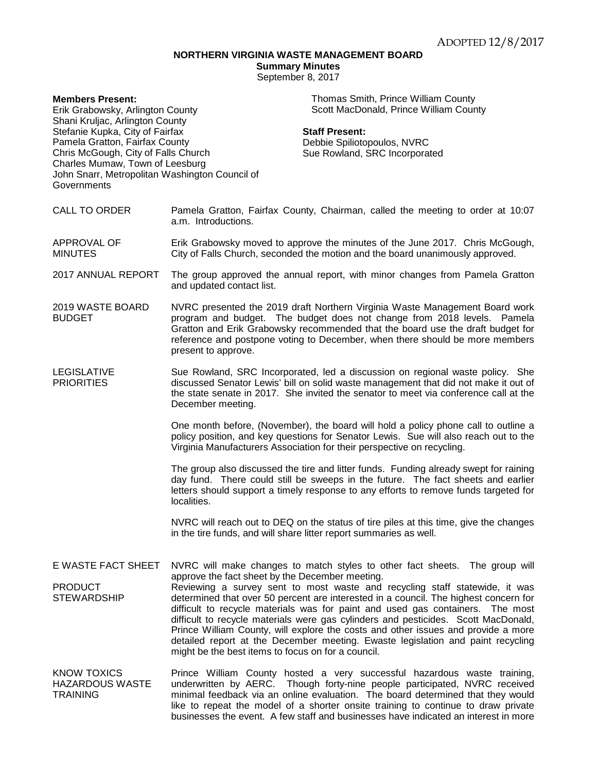## **NORTHERN VIRGINIA WASTE MANAGEMENT BOARD**

**Summary Minutes**

September 8, 2017

| <b>Members Present:</b><br>Erik Grabowsky, Arlington County<br>Shani Kruljac, Arlington County<br>Stefanie Kupka, City of Fairfax<br>Pamela Gratton, Fairfax County<br>Chris McGough, City of Falls Church<br>Charles Mumaw, Town of Leesburg<br>John Snarr, Metropolitan Washington Council of<br>Governments | Thomas Smith, Prince William County<br>Scott MacDonald, Prince William County<br><b>Staff Present:</b><br>Debbie Spiliotopoulos, NVRC<br>Sue Rowland, SRC Incorporated                                                                                                                                                                                                                                                                                                                                                                                                    |
|----------------------------------------------------------------------------------------------------------------------------------------------------------------------------------------------------------------------------------------------------------------------------------------------------------------|---------------------------------------------------------------------------------------------------------------------------------------------------------------------------------------------------------------------------------------------------------------------------------------------------------------------------------------------------------------------------------------------------------------------------------------------------------------------------------------------------------------------------------------------------------------------------|
| <b>CALL TO ORDER</b>                                                                                                                                                                                                                                                                                           | Pamela Gratton, Fairfax County, Chairman, called the meeting to order at 10:07<br>a.m. Introductions.                                                                                                                                                                                                                                                                                                                                                                                                                                                                     |
| APPROVAL OF<br><b>MINUTES</b>                                                                                                                                                                                                                                                                                  | Erik Grabowsky moved to approve the minutes of the June 2017. Chris McGough,<br>City of Falls Church, seconded the motion and the board unanimously approved.                                                                                                                                                                                                                                                                                                                                                                                                             |
| 2017 ANNUAL REPORT                                                                                                                                                                                                                                                                                             | The group approved the annual report, with minor changes from Pamela Gratton<br>and updated contact list.                                                                                                                                                                                                                                                                                                                                                                                                                                                                 |
| 2019 WASTE BOARD<br><b>BUDGET</b>                                                                                                                                                                                                                                                                              | NVRC presented the 2019 draft Northern Virginia Waste Management Board work<br>program and budget. The budget does not change from 2018 levels. Pamela<br>Gratton and Erik Grabowsky recommended that the board use the draft budget for<br>reference and postpone voting to December, when there should be more members<br>present to approve.                                                                                                                                                                                                                           |
| <b>LEGISLATIVE</b><br><b>PRIORITIES</b>                                                                                                                                                                                                                                                                        | Sue Rowland, SRC Incorporated, led a discussion on regional waste policy. She<br>discussed Senator Lewis' bill on solid waste management that did not make it out of<br>the state senate in 2017. She invited the senator to meet via conference call at the<br>December meeting.                                                                                                                                                                                                                                                                                         |
|                                                                                                                                                                                                                                                                                                                | One month before, (November), the board will hold a policy phone call to outline a<br>policy position, and key questions for Senator Lewis. Sue will also reach out to the<br>Virginia Manufacturers Association for their perspective on recycling.                                                                                                                                                                                                                                                                                                                      |
|                                                                                                                                                                                                                                                                                                                | The group also discussed the tire and litter funds. Funding already swept for raining<br>day fund. There could still be sweeps in the future. The fact sheets and earlier<br>letters should support a timely response to any efforts to remove funds targeted for<br>localities.                                                                                                                                                                                                                                                                                          |
|                                                                                                                                                                                                                                                                                                                | NVRC will reach out to DEQ on the status of tire piles at this time, give the changes<br>in the tire funds, and will share litter report summaries as well.                                                                                                                                                                                                                                                                                                                                                                                                               |
| E WASTE FACT SHEET                                                                                                                                                                                                                                                                                             | NVRC will make changes to match styles to other fact sheets. The group will<br>approve the fact sheet by the December meeting.                                                                                                                                                                                                                                                                                                                                                                                                                                            |
| <b>PRODUCT</b><br><b>STEWARDSHIP</b>                                                                                                                                                                                                                                                                           | Reviewing a survey sent to most waste and recycling staff statewide, it was<br>determined that over 50 percent are interested in a council. The highest concern for<br>difficult to recycle materials was for paint and used gas containers. The most<br>difficult to recycle materials were gas cylinders and pesticides. Scott MacDonald,<br>Prince William County, will explore the costs and other issues and provide a more<br>detailed report at the December meeting. Ewaste legislation and paint recycling<br>might be the best items to focus on for a council. |
| <b>KNOW TOXICS</b><br><b>HAZARDOUS WASTE</b><br><b>TRAINING</b>                                                                                                                                                                                                                                                | Prince William County hosted a very successful hazardous waste training,<br>underwritten by AERC. Though forty-nine people participated, NVRC received<br>minimal feedback via an online evaluation. The board determined that they would<br>like to repeat the model of a shorter onsite training to continue to draw private<br>businesses the event. A few staff and businesses have indicated an interest in more                                                                                                                                                     |